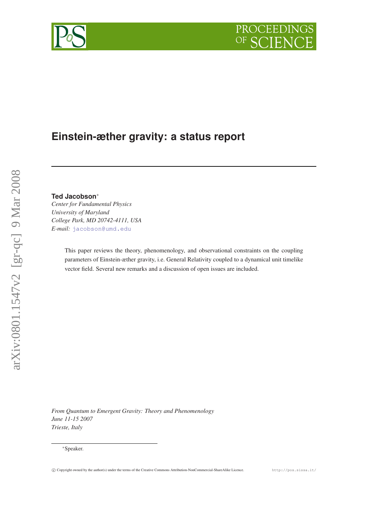# **Einstein-æther gravity: a status report**

# **Ted Jacobson**<sup>∗</sup>

*Center for Fundamental Physics University of Maryland College Park, MD 20742-4111, USA E-mail:* [jacobson@umd.edu](mailto:jacobson@umd.edu)

> This paper reviews the theory, phenomenology, and observational constraints on the coupling parameters of Einstein-æther gravity, i.e. General Relativity coupled to a dynamical unit timelike vector field. Several new remarks and a discussion of open issues are included.

*From Quantum to Emergent Gravity: Theory and Phenomenology June 11-15 2007 Trieste, Italy*

PROCEEDINGS

 $OF$ 



<sup>∗</sup>Speaker.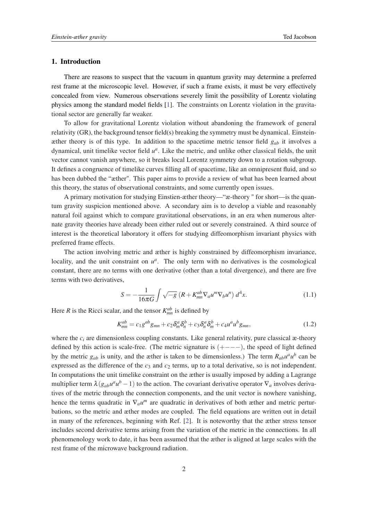# <span id="page-1-0"></span>1. Introduction

There are reasons to suspect that the vacuum in quantum gravity may determine a preferred rest frame at the microscopic level. However, if such a frame exists, it must be very effectively concealed from view. Numerous observations severely limit the possibility of Lorentz violating physics among the standard model fields [[1](#page-14-0)]. The constraints on Lorentz violation in the gravitational sector are generally far weaker.

To allow for gravitational Lorentz violation without abandoning the framework of general relativity (GR), the background tensor field(s) breaking the symmetry must be dynamical. Einsteinæther theory is of this type. In addition to the spacetime metric tensor field *gab* it involves a dynamical, unit timelike vector field  $u^a$ . Like the metric, and unlike other classical fields, the unit vector cannot vanish anywhere, so it breaks local Lorentz symmetry down to a rotation subgroup. It defines a congruence of timelike curves filling all of spacetime, like an omnipresent fluid, and so has been dubbed the "æther". This paper aims to provide a review of what has been learned about this theory, the status of observational constraints, and some currently open issues.

A primary motivation for studying Einstien-æther theory—"æ-theory " for short—is the quantum gravity suspicion mentioned above. A secondary aim is to develop a viable and reasonably natural foil against which to compare gravitational observations, in an era when numerous alternate gravity theories have already been either ruled out or severely constrained. A third source of interest is the theoretical laboratory it offers for studying diffeomorphism invariant physics with preferred frame effects.

The action involving metric and æther is highly constrained by diffeomorphism invariance, locality, and the unit constraint on  $u^a$ . The only term with no derivatives is the cosmological constant, there are no terms with one derivative (other than a total divergence), and there are five terms with two derivatives,

$$
S = -\frac{1}{16\pi G} \int \sqrt{-g} \left( R + K_{mn}^{ab} \nabla_a u^m \nabla_b u^n \right) d^4 x. \tag{1.1}
$$

Here *R* is the Ricci scalar, and the tensor  $K_{mn}^{ab}$  is defined by

$$
K_{mn}^{ab} = c_1 g^{ab} g_{mn} + c_2 \delta_m^a \delta_n^b + c_3 \delta_n^a \delta_m^b + c_4 u^a u^b g_{mn}, \qquad (1.2)
$$

where the  $c_i$  are dimensionless coupling constants. Like general relativity, pure classical  $\alpha$ -theory defined by this action is scale-free. (The metric signature is  $(+---)$ , the speed of light defined by the metric  $g_{ab}$  is unity, and the æther is taken to be dimensionless.) The term  $R_{ab}u^a u^b$  can be expressed as the difference of the  $c_3$  and  $c_2$  terms, up to a total derivative, so is not independent. In computations the unit timelike constraint on the æther is usually imposed by adding a Lagrange multiplier term  $\lambda(g_{ab}u^a u^b - 1)$  to the action. The covariant derivative operator  $\nabla_a$  involves derivatives of the metric through the connection components, and the unit vector is nowhere vanishing, hence the terms quadratic in  $\nabla_a u^m$  are quadratic in derivatives of both æther and metric perturbations, so the metric and æther modes are coupled. The field equations are written out in detail in many of the references, beginning with Ref. [\[2\]](#page-14-0). It is noteworthy that the æther stress tensor includes second derivative terms arising from the variation of the metric in the connections. In all phenomenology work to date, it has been assumed that the æther is aligned at large scales with the rest frame of the microwave background radiation.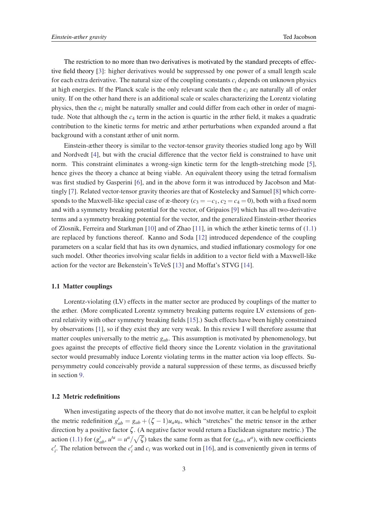The restriction to no more than two derivatives is motivated by the standard precepts of effective field theory [\[3\]](#page-14-0): higher derivatives would be suppressed by one power of a small length scale for each extra derivative. The natural size of the coupling constants  $c_i$  depends on unknown physics at high energies. If the Planck scale is the only relevant scale then the *c<sup>i</sup>* are naturally all of order unity. If on the other hand there is an additional scale or scales characterizing the Lorentz violating physics, then the *c<sup>i</sup>* might be naturally smaller and could differ from each other in order of magnitude. Note that although the *c*<sup>4</sup> term in the action is quartic in the æther field, it makes a quadratic contribution to the kinetic terms for metric and æther perturbations when expanded around a flat background with a constant æther of unit norm.

Einstein-æther theory is similar to the vector-tensor gravity theories studied long ago by Will and Nordvedt [[4](#page-14-0)], but with the crucial difference that the vector field is constrained to have unit norm. This constraint eliminates a wrong-sign kinetic term for the length-stretching mode [\[5\]](#page-14-0), hence gives the theory a chance at being viable. An equivalent theory using the tetrad formalism was first studied by Gasperini [\[6\]](#page-14-0), and in the above form it was introduced by Jacobson and Mattingly [[7](#page-14-0)]. Related vector-tensor gravity theories are that of Kostelecky and Samuel [[8](#page-14-0)] which corresponds to the Maxwell-like special case of  $x$ -theory ( $c_3 = -c_1$ ,  $c_2 = c_4 = 0$ ), both with a fixed norm and with a symmetry breaking potential for the vector, of Gripaios [[9](#page-14-0)] which has all two-derivative terms and a symmetry breaking potential for the vector, and the generalized Einstein-æther theories of Zlosnik, Ferreira and Starkman [\[10](#page-14-0)] and of Zhao [\[11](#page-14-0)], in which the æther kinetic terms of ([1.1](#page-1-0)) are replaced by functions thereof. Kanno and Soda [[12](#page-14-0)] introduced dependence of the coupling parameters on a scalar field that has its own dynamics, and studied inflationary cosmology for one such model. Other theories involving scalar fields in addition to a vector field with a Maxwell-like action for the vector are Bekenstein's TeVeS [\[13](#page-14-0)] and Moffat's STVG [[14](#page-14-0)].

# 1.1 Matter couplings

Lorentz-violating (LV) effects in the matter sector are produced by couplings of the matter to the æther. (More complicated Lorentz symmetry breaking patterns require LV extensions of general relativity with other symmetry breaking fields [\[15](#page-14-0)].) Such effects have been highly constrained by observations [\[1\]](#page-14-0), so if they exist they are very weak. In this review I will therefore assume that matter couples universally to the metric *gab*. This assumption is motivated by phenomenology, but goes against the precepts of effective field theory since the Lorentz violation in the gravitational sector would presumably induce Lorentz violating terms in the matter action via loop effects. Supersymmetry could conceivably provide a natural suppression of these terms, as discussed briefly in section [9.](#page-11-0)

# 1.2 Metric redefinitions

When investigating aspects of the theory that do not involve matter, it can be helpful to exploit the metric redefinition  $g'_{ab} = g_{ab} + (\zeta - 1)u_a u_b$ , which "stretches" the metric tensor in the æther direction by a positive factor ζ . (A negative factor would return a Euclidean signature metric.) The action [\(1.1](#page-1-0)) for  $(g'_{ab}, u'^a = u^a / \sqrt{\zeta})$  takes the same form as that for  $(g_{ab}, u^a)$ , with new coefficients  $c_i'$ . The relation between the  $c_i'$  and  $c_i$  was worked out in [[16\]](#page-14-0), and is conveniently given in terms of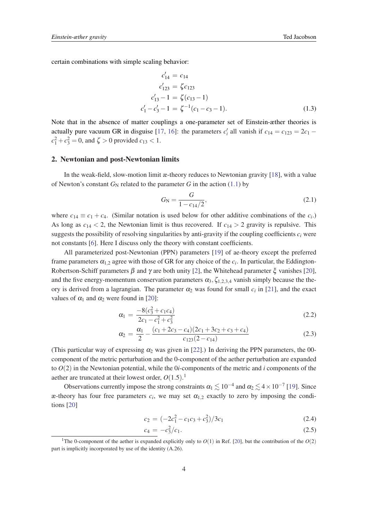<span id="page-3-0"></span>certain combinations with simple scaling behavior:

$$
c'_{14} = c_{14}
$$
  
\n
$$
c'_{123} = \zeta c_{123}
$$
  
\n
$$
c'_{13} - 1 = \zeta (c_{13} - 1)
$$
  
\n
$$
c'_{1} - c'_{3} - 1 = \zeta^{-1} (c_{1} - c_{3} - 1).
$$
\n(1.3)

Note that in the absence of matter couplings a one-parameter set of Einstein-æther theories is actually pure vacuum GR in disguise [[17,](#page-14-0) [16](#page-14-0)]: the parameters  $c_i$  all vanish if  $c_{14} = c_{123} = 2c_1$  $c_1^2 + c_3^2 = 0$ , and  $\zeta > 0$  provided  $c_{13} < 1$ .

## 2. Newtonian and post-Newtonian limits

In the weak-field, slow-motion limit æ-theory reduces to Newtonian gravity [\[18](#page-14-0)], with a value of Newton's constant  $G_N$  related to the parameter *G* in the action [\(1.1\)](#page-1-0) by

$$
G_{\rm N} = \frac{G}{1 - c_{14}/2},\tag{2.1}
$$

where  $c_{14} \equiv c_1 + c_4$ . (Similar notation is used below for other additive combinations of the  $c_i$ .) As long as  $c_{14} < 2$ , the Newtonian limit is thus recovered. If  $c_{14} > 2$  gravity is repulsive. This suggests the possibility of resolving singularities by anti-gravity if the coupling coefficients  $c_i$  were not constants [[6](#page-14-0)]. Here I discuss only the theory with constant coefficients.

All parameterized post-Newtonian (PPN) parameters [[19](#page-15-0)] of ae-theory except the preferred frame parameters  $\alpha_{1,2}$  agree with those of GR for any choice of the  $c_i$ . In particular, the Eddington-Robertson-Schiff parameters  $\beta$  and  $\gamma$  are both unity [[2](#page-14-0)], the Whitehead parameter  $\xi$  vanishes [[20\]](#page-15-0), and the five energy-momentum conservation parameters  $\alpha_3, \zeta_{1,2,3,4}$  vanish simply because the theory is derived from a lagrangian. The parameter  $\alpha_2$  was found for small  $c_i$  in [[21\]](#page-15-0), and the exact values of  $\alpha_1$  and  $\alpha_2$  were found in [\[20](#page-15-0)]:

$$
\alpha_1 = \frac{-8(c_3^2 + c_1 c_4)}{2c_1 - c_1^2 + c_3^2} \tag{2.2}
$$

$$
\alpha_2 = \frac{\alpha_1}{2} - \frac{(c_1 + 2c_3 - c_4)(2c_1 + 3c_2 + c_3 + c_4)}{c_{123}(2 - c_{14})}
$$
(2.3)

(This particular way of expressing  $\alpha_2$  was given in [\[22](#page-15-0)].) In deriving the PPN parameters, the 00component of the metric perturbation and the 0-component of the aether perturbation are expanded to *O*(2) in the Newtonian potential, while the 0*i*-components of the metric and *i* components of the aether are truncated at their lowest order, *O*(1.5). 1

Observations currently impose the strong constraints  $\alpha_1 \lesssim 10^{-4}$  and  $\alpha_2 \lesssim 4 \times 10^{-7}$  [\[19](#page-15-0)]. Since  $x$ -theory has four free parameters  $c_i$ , we may set  $α_{1,2}$  exactly to zero by imposing the conditions [[20\]](#page-15-0)

$$
c_2 = \left(-2c_1^2 - c_1c_3 + c_3^2\right)/3c_1\tag{2.4}
$$

$$
c_4 = -c_3^2/c_1. \tag{2.5}
$$

<sup>&</sup>lt;sup>1</sup>The 0-component of the aether is expanded explicitly only to  $O(1)$  in Ref. [[20\]](#page-15-0), but the contribution of the  $O(2)$ part is implicitly incorporated by use of the identity (A.26).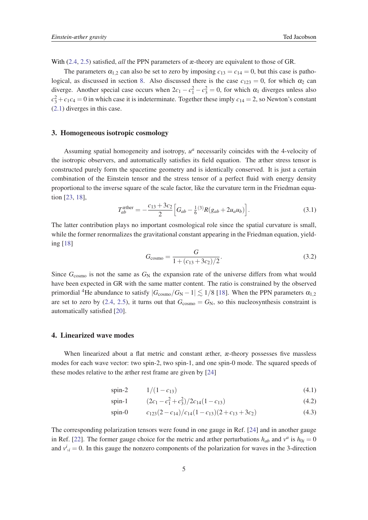<span id="page-4-0"></span>With [\(2.4,](#page-3-0) [2.5\)](#page-3-0) satisfied, *all* the PPN parameters of æ-theory are equivalent to those of GR.

The parameters  $\alpha_{1,2}$  can also be set to zero by imposing  $c_{13} = c_{14} = 0$ , but this case is patho-logical, as discussed in section [8.](#page-10-0) Also discussed there is the case  $c_{123} = 0$ , for which  $\alpha_2$  can diverge. Another special case occurs when  $2c_1 - c_1^2 - c_3^2 = 0$ , for which  $\alpha_1$  diverges unless also  $c_3^2 + c_1 c_4 = 0$  in which case it is indeterminate. Together these imply  $c_{14} = 2$ , so Newton's constant ([2.1\)](#page-3-0) diverges in this case.

# 3. Homogeneous isotropic cosmology

Assuming spatial homogeneity and isotropy,  $u^a$  necessarily coincides with the 4-velocity of the isotropic observers, and automatically satisfies its field equation. The æther stress tensor is constructed purely form the spacetime geometry and is identically conserved. It is just a certain combination of the Einstein tensor and the stress tensor of a perfect fluid with energy density proportional to the inverse square of the scale factor, like the curvature term in the Friedman equation [[23,](#page-15-0) [18\]](#page-14-0),

$$
T_{ab}^{\text{other}} = -\frac{c_{13} + 3c_2}{2} \left[ G_{ab} - \frac{1}{6} {}^{(3)}R(g_{ab} + 2u_a u_b) \right]. \tag{3.1}
$$

The latter contribution plays no important cosmological role since the spatial curvature is small, while the former renormalizes the gravitational constant appearing in the Friedman equation, yielding [[18\]](#page-14-0)

$$
G_{\text{cosmo}} = \frac{G}{1 + (c_{13} + 3c_2)/2}.
$$
\n(3.2)

Since  $G_{\text{cosmo}}$  is not the same as  $G_N$  the expansion rate of the universe differs from what would have been expected in GR with the same matter content. The ratio is constrained by the observed primordial <sup>4</sup>He abundance to satisfy  $|G_{\text{cosmo}}/G_N - 1| \lesssim 1/8$  [[18\]](#page-14-0). When the PPN parameters  $\alpha_{1,2}$ are set to zero by ([2.4](#page-3-0), [2.5\)](#page-3-0), it turns out that  $G_{\text{cosmo}} = G_N$ , so this nucleosynthesis constraint is automatically satisfied [[20](#page-15-0)].

# 4. Linearized wave modes

When linearized about a flat metric and constant æther, æ-theory possesses five massless modes for each wave vector: two spin-2, two spin-1, and one spin-0 mode. The squared speeds of these modes relative to the æther rest frame are given by [\[24](#page-15-0)]

spin-2 
$$
1/(1-c_{13})
$$
 (4.1)

spin-1  $(2c_1 - c_1^2 + c_3^2)/2c_{14}(1 - c_{13})$  (4.2)

spin-0 
$$
c_{123}(2-c_{14})/c_{14}(1-c_{13})(2+c_{13}+3c_2)
$$
 (4.3)

The corresponding polarization tensors were found in one gauge in Ref. [\[24](#page-15-0)] and in another gauge in Ref. [[22\]](#page-15-0). The former gauge choice for the metric and æther perturbations  $h_{ab}$  and  $v^a$  is  $h_{0i} = 0$ and  $v^i_{\parallel i} = 0$ . In this gauge the nonzero components of the polarization for waves in the 3-direction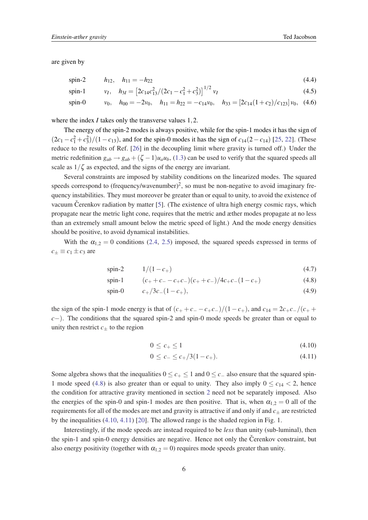<span id="page-5-0"></span>are given by

spin-2 
$$
h_{12}
$$
,  $h_{11} = -h_{22}$  (4.4)

spin-1 
$$
v_I
$$
,  $h_{3I} = [2c_{14}c_{13}^2/(2c_1 - c_1^2 + c_3^2)]^{1/2} v_I$  (4.5)

spin-0 
$$
v_0
$$
,  $h_{00} = -2v_0$ ,  $h_{11} = h_{22} = -c_{14}v_0$ ,  $h_{33} = [2c_{14}(1+c_2)/c_{123}]v_0$ , (4.6)

where the index *I* takes only the transverse values 1, 2.

The energy of the spin-2 modes is always positive, while for the spin-1 modes it has the sign of  $(2c_1 - c_1^2 + c_3^2)/(1 - c_{13})$ , and for the spin-0 modes it has the sign of  $c_{14}(2 - c_{14})$  [[25,](#page-15-0) [22](#page-15-0)]. (These reduce to the results of Ref. [[26](#page-15-0)] in the decoupling limit where gravity is turned off.) Under the metric redefinition  $g_{ab} \rightarrow g_{ab} + (\zeta - 1)u_a u_b$ , ([1.3](#page-3-0)) can be used to verify that the squared speeds all scale as  $1/\zeta$  as expected, and the signs of the energy are invariant.

Several constraints are imposed by stability conditions on the linearized modes. The squared speeds correspond to (frequency/wavenumber)<sup>2</sup>, so must be non-negative to avoid imaginary frequency instabilities. They must moreover be greater than or equal to unity, to avoid the existence of vacuum Cerenkov radiation by matter  $[5]$  $[5]$ . (The existence of ultra high energy cosmic rays, which propagate near the metric light cone, requires that the metric and æther modes propagate at no less than an extremely small amount below the metric speed of light.) And the mode energy densities should be positive, to avoid dynamical instabilities.

With the  $\alpha_{1,2} = 0$  conditions [\(2.4,](#page-3-0) [2.5](#page-3-0)) imposed, the squared speeds expressed in terms of  $c_{\pm} \equiv c_1 \pm c_3$  are

spin-2 
$$
1/(1-c_+)
$$
 (4.7)

spin-1 
$$
(c_+ + c_- - c_+c_-)(c_+ + c_-)/4c_+c_-(1-c_+)
$$
 (4.8)

spin-0 
$$
c_{+}/3c_{-}(1-c_{+}),
$$
 (4.9)

the sign of the spin-1 mode energy is that of  $(c_{+} + c_{-} - c_{+}c_{-})/(1 - c_{+})$ , and  $c_{14} = 2c_{+}c_{-}/(c_{+} + c_{-}c_{-})$ *c*−). The conditions that the squared spin-2 and spin-0 mode speeds be greater than or equal to unity then restrict  $c_{+}$  to the region

$$
0 \le c_+ \le 1 \tag{4.10}
$$

$$
0 \le c_- \le c_+/3(1-c_+). \tag{4.11}
$$

Some algebra shows that the inequalities  $0 \leq c_+ \leq 1$  and  $0 \leq c_-$  also ensure that the squared spin-1 mode speed (4.8) is also greater than or equal to unity. They also imply  $0 \le c_{14} < 2$ , hence the condition for attractive gravity mentioned in section [2](#page-3-0) need not be separately imposed. Also the energies of the spin-0 and spin-1 modes are then positive. That is, when  $\alpha_{1,2} = 0$  all of the requirements for all of the modes are met and gravity is attractive if and only if and  $c_{\pm}$  are restricted by the inequalities (4.10, 4.11) [\[20](#page-15-0)]. The allowed range is the shaded region in Fig. 1.

Interestingly, if the mode speeds are instead required to be *less* than unity (sub-luminal), then the spin-1 and spin-0 energy densities are negative. Hence not only the Cerenkov constraint, but also energy positivity (together with  $\alpha_{1,2} = 0$ ) requires mode speeds greater than unity.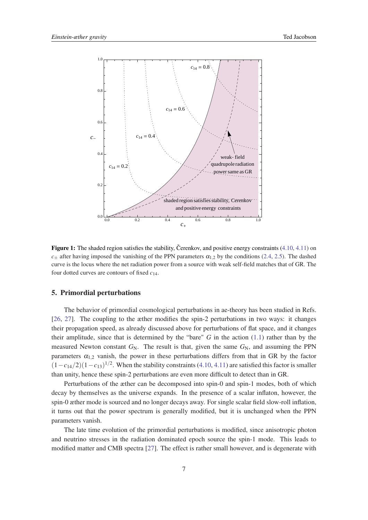

**Figure 1:** The shaded region satisfies the stability, Cerenkov, and positive energy constraints  $(4.10, 4.11)$  $(4.10, 4.11)$  $(4.10, 4.11)$  $(4.10, 4.11)$  $(4.10, 4.11)$  on  $c_{+}$  after having imposed the vanishing of the PPN parameters  $\alpha_{1,2}$  by the conditions ([2.4](#page-3-0), [2.5\)](#page-3-0). The dashed curve is the locus where the net radiation power from a source with weak self-field matches that of GR. The four dotted curves are contours of fixed *c*14.

# 5. Primordial perturbations

The behavior of primordial cosmological perturbations in ae-theory has been studied in Refs. [[26,](#page-15-0) [27\]](#page-15-0). The coupling to the æther modifies the spin-2 perturbations in two ways: it changes their propagation speed, as already discussed above for perturbations of flat space, and it changes their amplitude, since that is determined by the "bare" *G* in the action [\(1.1\)](#page-1-0) rather than by the measured Newton constant  $G_N$ . The result is that, given the same  $G_N$ , and assuming the PPN parameters  $\alpha_{1,2}$  vanish, the power in these perturbations differs from that in GR by the factor  $(1 - c_{14}/2)(1 - c_{13})^{1/2}$ . When the stability constraints [\(4.10](#page-5-0), [4.11\)](#page-5-0) are satisfied this factor is smaller than unity, hence these spin-2 perturbations are even more difficult to detect than in GR.

Perturbations of the æther can be decomposed into spin-0 and spin-1 modes, both of which decay by themselves as the universe expands. In the presence of a scalar inflaton, however, the spin-0 æther mode is sourced and no longer decays away. For single scalar field slow-roll inflation, it turns out that the power spectrum is generally modified, but it is unchanged when the PPN parameters vanish.

The late time evolution of the primordial perturbations is modified, since anisotropic photon and neutrino stresses in the radiation dominated epoch source the spin-1 mode. This leads to modified matter and CMB spectra [[27\]](#page-15-0). The effect is rather small however, and is degenerate with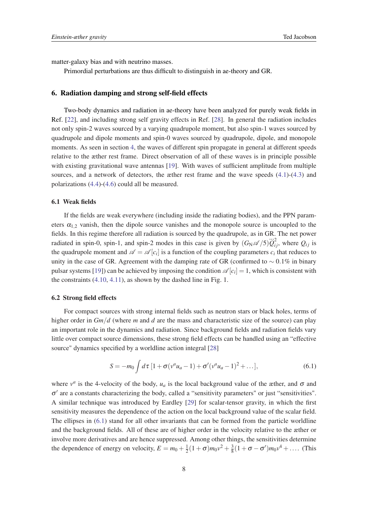<span id="page-7-0"></span>matter-galaxy bias and with neutrino masses.

Primordial perturbations are thus difficult to distinguish in ae-theory and GR.

# 6. Radiation damping and strong self-field effects

Two-body dynamics and radiation in ae-theory have been analyzed for purely weak fields in Ref. [[22\]](#page-15-0), and including strong self gravity effects in Ref. [\[28](#page-15-0)]. In general the radiation includes not only spin-2 waves sourced by a varying quadrupole moment, but also spin-1 waves sourced by quadrupole and dipole moments and spin-0 waves sourced by quadrupole, dipole, and monopole moments. As seen in section [4,](#page-4-0) the waves of different spin propagate in general at different speeds relative to the æther rest frame. Direct observation of all of these waves is in principle possible with existing gravitational wave antennas [\[19](#page-15-0)]. With waves of sufficient amplitude from multiple sources, and a network of detectors, the æther rest frame and the wave speeds [\(4.1\)](#page-4-0)-([4.3](#page-4-0)) and polarizations [\(4.4\)](#page-5-0)-([4.6](#page-5-0)) could all be measured.

## 6.1 Weak fields

If the fields are weak everywhere (including inside the radiating bodies), and the PPN parameters  $\alpha_{1,2}$  vanish, then the dipole source vanishes and the monopole source is uncoupled to the fields. In this regime therefore all radiation is sourced by the quadrupole, as in GR. The net power radiated in spin-0, spin-1, and spin-2 modes in this case is given by  $(G_N \mathscr{A}/5) \ddot{Q}_{ij}^2$ , where  $Q_{ij}$  is the quadrupole moment and  $\mathscr{A} = \mathscr{A}[c_i]$  is a function of the coupling parameters  $c_i$  that reduces to unity in the case of GR. Agreement with the damping rate of GR (confirmed to  $\sim 0.1\%$  in binary pulsar systems [[19\]](#page-15-0)) can be achieved by imposing the condition  $\mathscr{A}[c_i] = 1$ , which is consistent with the constraints [\(4.10](#page-5-0), [4.11\)](#page-5-0), as shown by the dashed line in Fig. 1.

#### 6.2 Strong field effects

For compact sources with strong internal fields such as neutron stars or black holes, terms of higher order in *Gm*/*d* (where *m* and *d* are the mass and characteristic size of the source) can play an important role in the dynamics and radiation. Since background fields and radiation fields vary little over compact source dimensions, these strong field effects can be handled using an "effective source" dynamics specified by a worldline action integral [[28](#page-15-0)]

$$
S = -m_0 \int d\tau \, [1 + \sigma(v^a u_a - 1) + \sigma'(v^a u_a - 1)^2 + \dots], \tag{6.1}
$$

where  $v^a$  is the 4-velocity of the body,  $u_a$  is the local background value of the æther, and  $\sigma$  and σ 0 are a constants characterizing the body, called a "sensitivity parameters" or just "sensitivities". A similar technique was introduced by Eardley [\[29](#page-15-0)] for scalar-tensor gravity, in which the first sensitivity measures the dependence of the action on the local background value of the scalar field. The ellipses in (6.1) stand for all other invariants that can be formed from the particle worldline and the background fields. All of these are of higher order in the velocity relative to the æther or involve more derivatives and are hence suppressed. Among other things, the sensitivities determine the dependence of energy on velocity,  $E = m_0 + \frac{1}{2}$  $\frac{1}{2}(1+\sigma)m_0v^2+\frac{3}{8}$  $\frac{3}{8}(1+\sigma-\sigma')m_0v^4 + \dots$  (This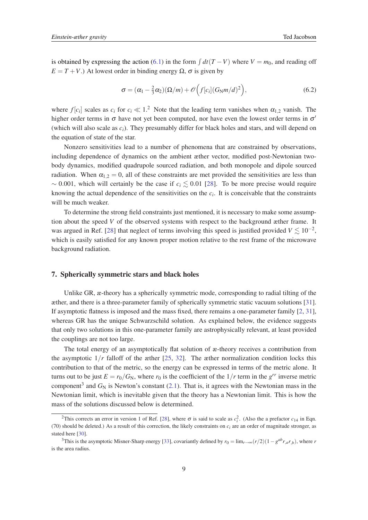is obtained by expressing the action ([6.1](#page-7-0)) in the form  $\int dt(T - V)$  where  $V = m_0$ , and reading off  $E = T + V$ .) At lowest order in binding energy  $\Omega$ ,  $\sigma$  is given by

$$
\sigma = (\alpha_1 - \frac{2}{3}\alpha_2)(\Omega/m) + \mathcal{O}\left(f[c_i](G_N m/d)^2\right),\tag{6.2}
$$

where  $f[c_i]$  scales as  $c_i$  for  $c_i \ll 1$ .<sup>2</sup> Note that the leading term vanishes when  $\alpha_{1,2}$  vanish. The higher order terms in  $\sigma$  have not yet been computed, nor have even the lowest order terms in  $\sigma'$ (which will also scale as *ci*). They presumably differ for black holes and stars, and will depend on the equation of state of the star.

Nonzero sensitivities lead to a number of phenomena that are constrained by observations, including dependence of dynamics on the ambient æther vector, modified post-Newtonian twobody dynamics, modified quadrupole sourced radiation, and both monopole and dipole sourced radiation. When  $\alpha_{12} = 0$ , all of these constraints are met provided the sensitivities are less than  $\sim 0.001$ , which will certainly be the case if  $c_i \leq 0.01$  [[28\]](#page-15-0). To be more precise would require knowing the actual dependence of the sensitivities on the *c<sup>i</sup>* . It is conceivable that the constraints will be much weaker.

To determine the strong field constraints just mentioned, it is necessary to make some assumption about the speed *V* of the observed systems with respect to the background æther frame. It was argued in Ref. [[28\]](#page-15-0) that neglect of terms involving this speed is justified provided  $V \lesssim 10^{-2}$ , which is easily satisfied for any known proper motion relative to the rest frame of the microwave background radiation.

# 7. Spherically symmetric stars and black holes

Unlike GR, æ-theory has a spherically symmetric mode, corresponding to radial tilting of the æther, and there is a three-parameter family of spherically symmetric static vacuum solutions [[31\]](#page-15-0). If asymptotic flatness is imposed and the mass fixed, there remains a one-parameter family [[2](#page-14-0), [31\]](#page-15-0), whereas GR has the unique Schwarzschild solution. As explained below, the evidence suggests that only two solutions in this one-parameter family are astrophysically relevant, at least provided the couplings are not too large.

The total energy of an asymptotically flat solution of æ-theory receives a contribution from the asymptotic  $1/r$  falloff of the æther [\[25](#page-15-0), [32](#page-15-0)]. The æther normalization condition locks this contribution to that of the metric, so the energy can be expressed in terms of the metric alone. It turns out to be just  $E = r_0/G_N$ , where  $r_0$  is the coefficient of the  $1/r$  term in the  $g^{rr}$  inverse metric component<sup>3</sup> and  $G_N$  is Newton's constant ([2.1\)](#page-3-0). That is, it agrees with the Newtonian mass in the Newtonian limit, which is inevitable given that the theory has a Newtonian limit. This is how the mass of the solutions discussed below is determined.

<sup>&</sup>lt;sup>2</sup>This corrects an error in version 1 of Ref. [[28\]](#page-15-0), where  $\sigma$  is said to scale as  $c_i^2$ . (Also the a prefactor  $c_{14}$  in Eqn. (70) should be deleted.) As a result of this correction, the likely constraints on  $c_i$  are an order of magnitude stronger, as stated here [\[30](#page-15-0)].

<sup>&</sup>lt;sup>3</sup>This is the asymptotic Misner-Sharp energy [\[33](#page-15-0)], covariantly defined by  $r_0 = \lim_{r \to \infty} (r/2)(1 - g^{ab}r_{,a}r_{,b})$ , where *r* is the area radius.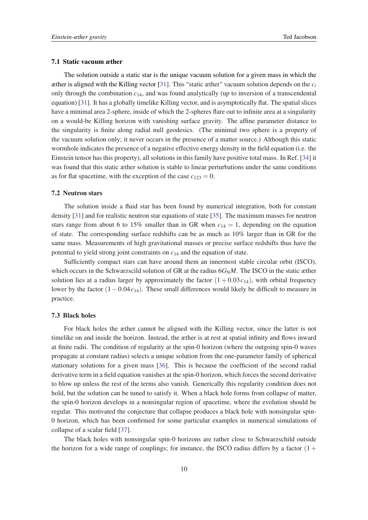#### 7.1 Static vacuum æther

The solution outside a static star is the unique vacuum solution for a given mass in which the æther is aligned with the Killing vector [[31\]](#page-15-0). This "static æther" vacuum solution depends on the *c<sup>i</sup>* only through the combination *c*14, and was found analytically (up to inversion of a transcendental equation) [\[31](#page-15-0)]. It has a globally timelike Killing vector, and is asymptotically flat. The spatial slices have a minimal area 2-sphere, inside of which the 2-spheres flare out to infinite area at a singularity on a would-be Killing horizon with vanishing surface gravity. The affine parameter distance to the singularity is finite along radial null geodesics. (The minimal two sphere is a property of the vacuum solution only; it never occurs in the presence of a matter source.) Although this static wormhole indicates the presence of a negative effective energy density in the field equation (i.e. the Einstein tensor has this property), all solutions in this family have positive total mass. In Ref. [\[34\]](#page-15-0) it was found that this static æther solution is stable to linear perturbations under the same conditions as for flat spacetime, with the exception of the case  $c_{123} = 0$ .

# 7.2 Neutron stars

The solution inside a fluid star has been found by numerical integration, both for constant density [[31\]](#page-15-0) and for realistic neutron star equations of state [[35\]](#page-15-0). The maximum masses for neutron stars range from about 6 to 15% smaller than in GR when  $c_{14} = 1$ , depending on the equation of state. The corresponding surface redshifts can be as much as 10% larger than in GR for the same mass. Measurements of high gravitational masses or precise surface redshifts thus have the potential to yield strong joint constraints on *c*<sup>14</sup> and the equation of state.

Sufficiently compact stars can have around them an innermost stable circular orbit (ISCO), which occurs in the Schwarzscild solution of GR at the radius  $6G_NM$ . The ISCO in the static æther solution lies at a radius larger by approximately the factor  $(1 + 0.03c_{14})$ , with orbital frequency lower by the factor (1−0.04*c*14). These small differences would likely be difficult to measure in practice.

# 7.3 Black holes

For black holes the æther cannot be aligned with the Killing vector, since the latter is not timelike on and inside the horizon. Instead, the æther is at rest at spatial infinity and flows inward at finite radii. The condition of regularity at the spin-0 horizon (where the outgoing spin-0 waves propagate at constant radius) selects a unique solution from the one-parameter family of spherical stationary solutions for a given mass [[36\]](#page-15-0). This is because the coefficient of the second radial derivative term in a field equation vanishes at the spin-0 horizon, which forces the second derivative to blow up unless the rest of the terms also vanish. Generically this regularity condition does not hold, but the solution can be tuned to satisfy it. When a black hole forms from collapse of matter, the spin-0 horizon develops in a nonsingular region of spacetime, where the evolution should be regular. This motivated the conjecture that collapse produces a black hole with nonsingular spin-0 horizon, which has been confirmed for some particular examples in numerical simulations of collapse of a scalar field [\[37](#page-15-0)].

The black holes with nonsingular spin-0 horizons are rather close to Schwarzschild outside the horizon for a wide range of couplings; for instance, the ISCO radius differs by a factor  $(1 +$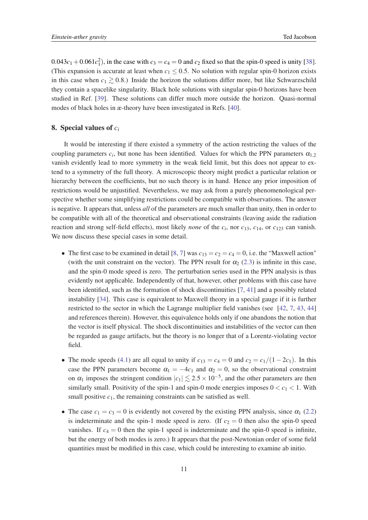<span id="page-10-0"></span> $0.043c_1 + 0.061c_1^2$ , in the case with  $c_3 = c_4 = 0$  and  $c_2$  fixed so that the spin-0 speed is unity [[38\]](#page-15-0). (This expansion is accurate at least when  $c_1 \leq 0.5$ . No solution with regular spin-0 horizon exists in this case when  $c_1 \gtrsim 0.8$ .) Inside the horizon the solutions differ more, but like Schwarzschild they contain a spacelike singularity. Black hole solutions with singular spin-0 horizons have been studied in Ref. [\[39](#page-16-0)]. These solutions can differ much more outside the horizon. Quasi-normal modes of black holes in æ-theory have been investigated in Refs. [[40](#page-16-0)].

# 8. Special values of *c<sup>i</sup>*

It would be interesting if there existed a symmetry of the action restricting the values of the coupling parameters  $c_i$ , but none has been identified. Values for which the PPN parameters  $\alpha_{1,2}$ vanish evidently lead to more symmetry in the weak field limit, but this does not appear to extend to a symmetry of the full theory. A microscopic theory might predict a particular relation or hierarchy between the coefficients, but no such theory is in hand. Hence any prior imposition of restrictions would be unjustified. Nevertheless, we may ask from a purely phenomenological perspective whether some simplifying restrictions could be compatible with observations. The answer is negative. It appears that, unless *all* of the parameters are much smaller than unity, then in order to be compatible with all of the theoretical and observational constraints (leaving aside the radiation reaction and strong self-field effects), most likely *none* of the  $c_i$ , nor  $c_{13}$ ,  $c_{14}$ , or  $c_{123}$  can vanish. We now discuss these special cases in some detail.

- The first case to be examined in detail [\[8,](#page-14-0) [7](#page-14-0)] was  $c_{13} = c_2 = c_4 = 0$ , i.e. the "Maxwell action" (with the unit constraint on the vector). The PPN result for  $\alpha_2$  [\(2.3](#page-3-0)) is infinite in this case, and the spin-0 mode speed is zero. The perturbation series used in the PPN analysis is thus evidently not applicable. Independently of that, however, other problems with this case have been identified, such as the formation of shock discontinuities [\[7,](#page-14-0) [41](#page-16-0)] and a possibly related instability [[34\]](#page-15-0). This case is equivalent to Maxwell theory in a special gauge if it is further restricted to the sector in which the Lagrange multiplier field vanishes (see [\[42](#page-16-0), [7](#page-14-0), [43](#page-16-0), [44](#page-16-0)] and references therein). However, this equivalence holds only if one abandons the notion that the vector is itself physical. The shock discontinuities and instabilities of the vector can then be regarded as gauge artifacts, but the theory is no longer that of a Lorentz-violating vector field.
- The mode speeds [\(4.1\)](#page-4-0) are all equal to unity if  $c_{13} = c_4 = 0$  and  $c_2 = c_1/(1 2c_1)$ . In this case the PPN parameters become  $\alpha_1 = -4c_1$  and  $\alpha_2 = 0$ , so the observational constraint on  $\alpha_1$  imposes the stringent condition  $|c_1| \lesssim 2.5 \times 10^{-5}$ , and the other parameters are then similarly small. Positivity of the spin-1 and spin-0 mode energies imposes  $0 < c_1 < 1$ . With small positive  $c_1$ , the remaining constraints can be satisfied as well.
- The case  $c_1 = c_3 = 0$  is evidently not covered by the existing PPN analysis, since  $\alpha_1$  ([2.2](#page-3-0)) is indeterminate and the spin-1 mode speed is zero. (If  $c_2 = 0$  then also the spin-0 speed vanishes. If  $c_4 = 0$  then the spin-1 speed is indeterminate and the spin-0 speed is infinite, but the energy of both modes is zero.) It appears that the post-Newtonian order of some field quantities must be modified in this case, which could be interesting to examine ab initio.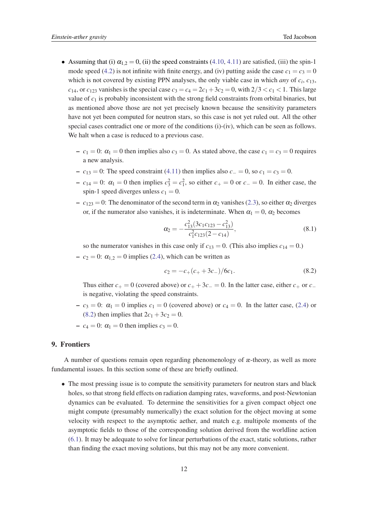- <span id="page-11-0"></span>• Assuming that (i)  $\alpha_{1,2} = 0$ , (ii) the speed constraints [\(4.10](#page-5-0), [4.11\)](#page-5-0) are satisfied, (iii) the spin-1 mode speed [\(4.2](#page-4-0)) is not infinite with finite energy, and (iv) putting aside the case  $c_1 = c_3 = 0$ which is not covered by existing PPN analyses, the only viable case in which *any* of *c<sup>i</sup>* , *c*13,  $c_{14}$ , or  $c_{123}$  vanishes is the special case  $c_3 = c_4 = 2c_1+3c_2 = 0$ , with  $2/3 < c_1 < 1$ . This large value of  $c_1$  is probably inconsistent with the strong field constraints from orbital binaries, but as mentioned above those are not yet precisely known because the sensitivity parameters have not yet been computed for neutron stars, so this case is not yet ruled out. All the other special cases contradict one or more of the conditions (i)-(iv), which can be seen as follows. We halt when a case is reduced to a previous case.
	- $-c_1 = 0$ :  $\alpha_1 = 0$  then implies also  $c_3 = 0$ . As stated above, the case  $c_1 = c_3 = 0$  requires a new analysis.
	- −  $c_{13} = 0$ : The speed constraint [\(4.11\)](#page-5-0) then implies also  $c_ = 0$ , so  $c_1 = c_3 = 0$ .
	- $c_{14} = 0$ : α<sub>1</sub> = 0 then implies  $c_3^2 = c_1^2$ , so either  $c_+ = 0$  or  $c_− = 0$ . In either case, the spin-1 speed diverges unless  $c_1 = 0$ .
	- $-c_{123} = 0$ : The denominator of the second term in  $\alpha_2$  vanishes ([2.3](#page-3-0)), so either  $\alpha_2$  diverges or, if the numerator also vanishes, it is indeterminate. When  $\alpha_1 = 0$ ,  $\alpha_2$  becomes

$$
\alpha_2 = -\frac{c_{13}^2 (3c_1c_{123} - c_{13}^2)}{c_1^2 c_{123} (2 - c_{14})},\tag{8.1}
$$

so the numerator vanishes in this case only if  $c_{13} = 0$ . (This also implies  $c_{14} = 0$ .)

 $-c_2 = 0$ :  $\alpha_{1,2} = 0$  implies [\(2.4](#page-3-0)), which can be written as

$$
c_2 = -c_+(c_+ + 3c_-)/6c_1.
$$
 (8.2)

Thus either  $c_{+} = 0$  (covered above) or  $c_{+} + 3c_{-} = 0$ . In the latter case, either  $c_{+}$  or  $c_{-}$ is negative, violating the speed constraints.

- $-c_3 = 0$ :  $\alpha_1 = 0$  implies  $c_1 = 0$  (covered above) or  $c_4 = 0$ . In the latter case, [\(2.4\)](#page-3-0) or (8.2) then implies that  $2c_1 + 3c_2 = 0$ .
- $-c_4 = 0$ :  $\alpha_1 = 0$  then implies  $c_3 = 0$ .

# 9. Frontiers

A number of questions remain open regarding phenomenology of æ-theory, as well as more fundamental issues. In this section some of these are briefly outlined.

• The most pressing issue is to compute the sensitivity parameters for neutron stars and black holes, so that strong field effects on radiation damping rates, waveforms, and post-Newtonian dynamics can be evaluated. To determine the sensitivities for a given compact object one might compute (presumably numerically) the exact solution for the object moving at some velocity with respect to the asymptotic aether, and match e.g. multipole moments of the asymptotic fields to those of the corresponding solution derived from the worldline action [\(6.1\)](#page-7-0). It may be adequate to solve for linear perturbations of the exact, static solutions, rather than finding the exact moving solutions, but this may not be any more convenient.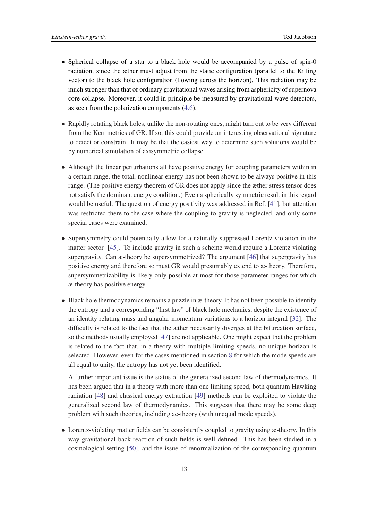- Spherical collapse of a star to a black hole would be accompanied by a pulse of spin-0 radiation, since the æther must adjust from the static configuration (parallel to the Killing vector) to the black hole configuration (flowing across the horizon). This radiation may be much stronger than that of ordinary gravitational waves arising from asphericity of supernova core collapse. Moreover, it could in principle be measured by gravitational wave detectors, as seen from the polarization components [\(4.6\)](#page-5-0).
- Rapidly rotating black holes, unlike the non-rotating ones, might turn out to be very different from the Kerr metrics of GR. If so, this could provide an interesting observational signature to detect or constrain. It may be that the easiest way to determine such solutions would be by numerical simulation of axisymmetric collapse.
- Although the linear perturbations all have positive energy for coupling parameters within in a certain range, the total, nonlinear energy has not been shown to be always positive in this range. (The positive energy theorem of GR does not apply since the æther stress tensor does not satisfy the dominant energy condition.) Even a spherically symmetric result in this regard would be useful. The question of energy positivity was addressed in Ref. [[41\]](#page-16-0), but attention was restricted there to the case where the coupling to gravity is neglected, and only some special cases were examined.
- Supersymmetry could potentially allow for a naturally suppressed Lorentz violation in the matter sector [[45\]](#page-16-0). To include gravity in such a scheme would require a Lorentz violating supergravity. Can æ-theory be supersymmetrized? The argument [\[46](#page-16-0)] that supergravity has positive energy and therefore so must GR would presumably extend to æ-theory. Therefore, supersymmetrizability is likely only possible at most for those parameter ranges for which æ-theory has positive energy.
- Black hole thermodynamics remains a puzzle in æ-theory. It has not been possible to identify the entropy and a corresponding "first law" of black hole mechanics, despite the existence of an identity relating mass and angular momentum variations to a horizon integral [[32\]](#page-15-0). The difficulty is related to the fact that the æther necessarily diverges at the bifurcation surface, so the methods usually employed [\[47](#page-16-0)] are not applicable. One might expect that the problem is related to the fact that, in a theory with multiple limiting speeds, no unique horizon is selected. However, even for the cases mentioned in section [8](#page-10-0) for which the mode speeds are all equal to unity, the entropy has not yet been identified.

A further important issue is the status of the generalized second law of thermodynamics. It has been argued that in a theory with more than one limiting speed, both quantum Hawking radiation [\[48](#page-16-0)] and classical energy extraction [\[49\]](#page-16-0) methods can be exploited to violate the generalized second law of thermodynamics. This suggests that there may be some deep problem with such theories, including ae-theory (with unequal mode speeds).

• Lorentz-violating matter fields can be consistently coupled to gravity using æ-theory. In this way gravitational back-reaction of such fields is well defined. This has been studied in a cosmological setting [[50\]](#page-16-0), and the issue of renormalization of the corresponding quantum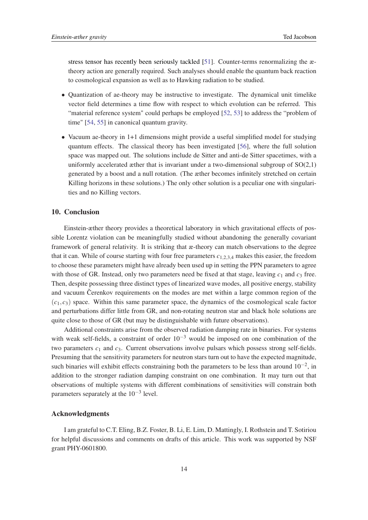stress tensor has recently been seriously tackled [\[51](#page-16-0)]. Counter-terms renormalizing the ætheory action are generally required. Such analyses should enable the quantum back reaction to cosmological expansion as well as to Hawking radiation to be studied.

- Quantization of ae-theory may be instructive to investigate. The dynamical unit timelike vector field determines a time flow with respect to which evolution can be referred. This "material reference system" could perhaps be employed [[52,](#page-16-0) [53](#page-17-0)] to address the "problem of time" [[54,](#page-17-0) [55\]](#page-17-0) in canonical quantum gravity.
- Vacuum ae-theory in 1+1 dimensions might provide a useful simplified model for studying quantum effects. The classical theory has been investigated [\[56\]](#page-17-0), where the full solution space was mapped out. The solutions include de Sitter and anti-de Sitter spacetimes, with a uniformly accelerated æther that is invariant under a two-dimensional subgroup of  $SO(2,1)$ generated by a boost and a null rotation. (The æther becomes infinitely stretched on certain Killing horizons in these solutions.) The only other solution is a peculiar one with singularities and no Killing vectors.

# 10. Conclusion

Einstein-æther theory provides a theoretical laboratory in which gravitational effects of possible Lorentz violation can be meaningfully studied without abandoning the generally covariant framework of general relativity. It is striking that æ-theory can match observations to the degree that it can. While of course starting with four free parameters *c*1,2,3,<sup>4</sup> makes this easier, the freedom to choose these parameters might have already been used up in setting the PPN parameters to agree with those of GR. Instead, only two parameters need be fixed at that stage, leaving  $c_1$  and  $c_3$  free. Then, despite possessing three distinct types of linearized wave modes, all positive energy, stability and vacuum Cerenkov requirements on the modes are met within a large common region of the  $(c_1, c_3)$  space. Within this same parameter space, the dynamics of the cosmological scale factor and perturbations differ little from GR, and non-rotating neutron star and black hole solutions are quite close to those of GR (but may be distinguishable with future observations).

Additional constraints arise from the observed radiation damping rate in binaries. For systems with weak self-fields, a constraint of order  $10^{-3}$  would be imposed on one combination of the two parameters  $c_1$  and  $c_3$ . Current observations involve pulsars which possess strong self-fields. Presuming that the sensitivity parameters for neutron stars turn out to have the expected magnitude, such binaries will exhibit effects constraining both the parameters to be less than around  $10^{-2}$ , in addition to the stronger radiation damping constraint on one combination. It may turn out that observations of multiple systems with different combinations of sensitivities will constrain both parameters separately at the  $10^{-3}$  level.

# Acknowledgments

I am grateful to C.T. Eling, B.Z. Foster, B. Li, E. Lim, D. Mattingly, I. Rothstein and T. Sotiriou for helpful discussions and comments on drafts of this article. This work was supported by NSF grant PHY-0601800.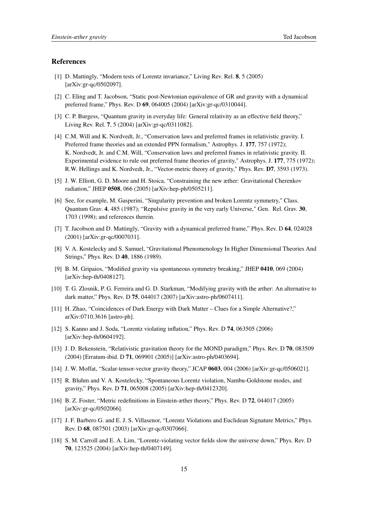# <span id="page-14-0"></span>**References**

- [1] D. Mattingly, "Modern tests of Lorentz invariance," Living Rev. Rel. 8, 5 (2005) [arXiv:gr-qc/0502097].
- [2] C. Eling and T. Jacobson, "Static post-Newtonian equivalence of GR and gravity with a dynamical preferred frame," Phys. Rev. D 69, 064005 (2004) [arXiv:gr-qc/0310044].
- [3] C. P. Burgess, "Quantum gravity in everyday life: General relativity as an effective field theory," Living Rev. Rel. 7, 5 (2004) [arXiv:gr-qc/0311082].
- [4] C.M. Will and K. Nordvedt, Jr., "Conservation laws and preferred frames in relativistic gravity. I. Preferred frame theories and an extended PPN formalism," Astrophys. J. 177, 757 (1972); K. Nordvedt, Jr. and C.M. Will, "Conservation laws and preferred frames in relativistic gravity. II. Experimental evidence to rule out preferred frame theories of gravity," Astrophys. J. 177, 775 (1972); R.W. Hellings and K. Nordvedt, Jr., "Vector-metric theory of gravity," Phys. Rev. D7, 3593 (1973).
- [5] J. W. Elliott, G. D. Moore and H. Stoica, "Constraining the new æther: Gravitational Cherenkov radiation," JHEP 0508, 066 (2005) [arXiv:hep-ph/0505211].
- [6] See, for example, M. Gasperini, "Singularity prevention and broken Lorentz symmetry," Class. Quantum Grav. 4, 485 (1987); "Repulsive gravity in the very early Universe," Gen. Rel. Grav. 30, 1703 (1998); and references therein.
- [7] T. Jacobson and D. Mattingly, "Gravity with a dynamical preferred frame," Phys. Rev. D 64, 024028 (2001) [arXiv:gr-qc/0007031].
- [8] V. A. Kostelecky and S. Samuel, "Gravitational Phenomenology In Higher Dimensional Theories And Strings," Phys. Rev. D 40, 1886 (1989).
- [9] B. M. Gripaios, "Modified gravity via spontaneous symmetry breaking," JHEP 0410, 069 (2004) [arXiv:hep-th/0408127].
- [10] T. G. Zlosnik, P. G. Ferreira and G. D. Starkman, "Modifying gravity with the æther: An alternative to dark matter," Phys. Rev. D 75, 044017 (2007) [arXiv:astro-ph/0607411].
- [11] H. Zhao, "Coincidences of Dark Energy with Dark Matter Clues for a Simple Alternative?," arXiv:0710.3616 [astro-ph].
- [12] S. Kanno and J. Soda, "Lorentz violating inflation," Phys. Rev. D 74, 063505 (2006) [arXiv:hep-th/0604192].
- [13] J. D. Bekenstein, "Relativistic gravitation theory for the MOND paradigm," Phys. Rev. D 70, 083509 (2004) [Erratum-ibid. D 71, 069901 (2005)] [arXiv:astro-ph/0403694].
- [14] J. W. Moffat, "Scalar-tensor-vector gravity theory," JCAP 0603, 004 (2006) [arXiv:gr-qc/0506021].
- [15] R. Bluhm and V. A. Kostelecky, "Spontaneous Lorentz violation, Nambu-Goldstone modes, and gravity," Phys. Rev. D 71, 065008 (2005) [arXiv:hep-th/0412320].
- [16] B. Z. Foster, "Metric redefinitions in Einstein-æther theory," Phys. Rev. D 72, 044017 (2005) [arXiv:gr-qc/0502066].
- [17] J. F. Barbero G. and E. J. S. Villasenor, "Lorentz Violations and Euclidean Signature Metrics," Phys. Rev. D 68, 087501 (2003) [arXiv:gr-qc/0307066].
- [18] S. M. Carroll and E. A. Lim, "Lorentz-violating vector fields slow the universe down," Phys. Rev. D 70, 123525 (2004) [arXiv:hep-th/0407149].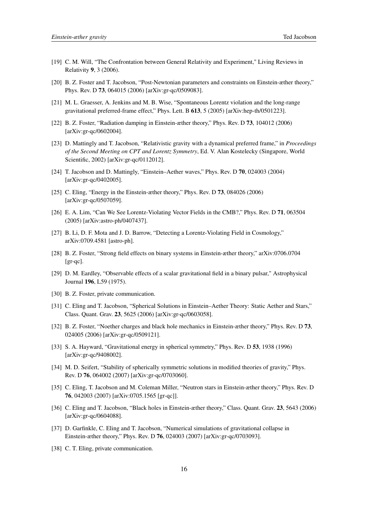- <span id="page-15-0"></span>[19] C. M. Will, "The Confrontation between General Relativity and Experiment," Living Reviews in Relativity 9, 3 (2006).
- [20] B. Z. Foster and T. Jacobson, "Post-Newtonian parameters and constraints on Einstein-æther theory," Phys. Rev. D 73, 064015 (2006) [arXiv:gr-qc/0509083].
- [21] M. L. Graesser, A. Jenkins and M. B. Wise, "Spontaneous Lorentz violation and the long-range gravitational preferred-frame effect," Phys. Lett. B 613, 5 (2005) [arXiv:hep-th/0501223].
- [22] B. Z. Foster, "Radiation damping in Einstein-æther theory," Phys. Rev. D 73, 104012 (2006) [arXiv:gr-qc/0602004].
- [23] D. Mattingly and T. Jacobson, "Relativistic gravity with a dynamical preferred frame," in *Proceedings of the Second Meeting on CPT and Lorentz Symmetry*, Ed. V. Alan Kostelecky (Singapore, World Scientific, 2002) [arXiv:gr-qc/0112012].
- [24] T. Jacobson and D. Mattingly, "Einstein–Aether waves," Phys. Rev. D 70, 024003 (2004) [arXiv:gr-qc/0402005].
- [25] C. Eling, "Energy in the Einstein-æther theory," Phys. Rev. D 73, 084026 (2006) [arXiv:gr-qc/0507059].
- [26] E. A. Lim, "Can We See Lorentz-Violating Vector Fields in the CMB?," Phys. Rev. D 71, 063504 (2005) [arXiv:astro-ph/0407437].
- [27] B. Li, D. F. Mota and J. D. Barrow, "Detecting a Lorentz-Violating Field in Cosmology," arXiv:0709.4581 [astro-ph].
- [28] B. Z. Foster, "Strong field effects on binary systems in Einstein-æther theory," arXiv:0706.0704 [gr-qc].
- [29] D. M. Eardley, "Observable effects of a scalar gravitational field in a binary pulsar," Astrophysical Journal 196, L59 (1975).
- [30] B. Z. Foster, private communication.
- [31] C. Eling and T. Jacobson, "Spherical Solutions in Einstein–Aether Theory: Static Aether and Stars," Class. Quant. Grav. 23, 5625 (2006) [arXiv:gr-qc/0603058].
- [32] B. Z. Foster, "Noether charges and black hole mechanics in Einstein-æther theory," Phys. Rev. D 73, 024005 (2006) [arXiv:gr-qc/0509121].
- [33] S. A. Hayward, "Gravitational energy in spherical symmetry," Phys. Rev. D 53, 1938 (1996) [arXiv:gr-qc/9408002].
- [34] M. D. Seifert, "Stability of spherically symmetric solutions in modified theories of gravity," Phys. Rev. D 76, 064002 (2007) [arXiv:gr-qc/0703060].
- [35] C. Eling, T. Jacobson and M. Coleman Miller, "Neutron stars in Einstein-æther theory," Phys. Rev. D 76, 042003 (2007) [arXiv:0705.1565 [gr-qc]].
- [36] C. Eling and T. Jacobson, "Black holes in Einstein-æther theory," Class. Quant. Grav. 23, 5643 (2006) [arXiv:gr-qc/0604088].
- [37] D. Garfinkle, C. Eling and T. Jacobson, "Numerical simulations of gravitational collapse in Einstein-æther theory," Phys. Rev. D 76, 024003 (2007) [arXiv:gr-qc/0703093].
- [38] C. T. Eling, private communication.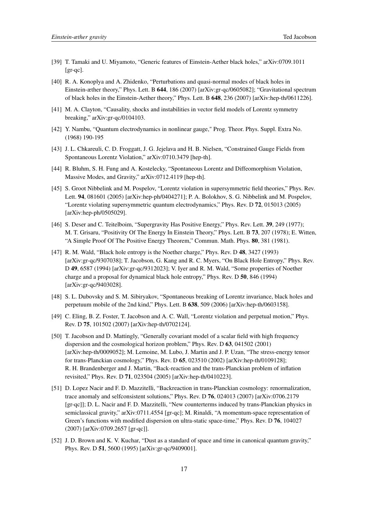- <span id="page-16-0"></span>[39] T. Tamaki and U. Miyamoto, "Generic features of Einstein-Aether black holes," arXiv:0709.1011  $[gr-qc]$ .
- [40] R. A. Konoplya and A. Zhidenko, "Perturbations and quasi-normal modes of black holes in Einstein-æther theory," Phys. Lett. B 644, 186 (2007) [arXiv:gr-qc/0605082]; "Gravitational spectrum of black holes in the Einstein-Aether theory," Phys. Lett. B 648, 236 (2007) [arXiv:hep-th/0611226].
- [41] M. A. Clayton, "Causality, shocks and instabilities in vector field models of Lorentz symmetry breaking," arXiv:gr-qc/0104103.
- [42] Y. Nambu, "Quantum electrodynamics in nonlinear gauge," Prog. Theor. Phys. Suppl. Extra No. (1968) 190-195
- [43] J. L. Chkareuli, C. D. Froggatt, J. G. Jejelava and H. B. Nielsen, "Constrained Gauge Fields from Spontaneous Lorentz Violation," arXiv:0710.3479 [hep-th].
- [44] R. Bluhm, S. H. Fung and A. Kostelecky, "Spontaneous Lorentz and Diffeomorphism Violation, Massive Modes, and Gravity," arXiv:0712.4119 [hep-th].
- [45] S. Groot Nibbelink and M. Pospelov, "Lorentz violation in supersymmetric field theories," Phys. Rev. Lett. 94, 081601 (2005) [arXiv:hep-ph/0404271]; P. A. Bolokhov, S. G. Nibbelink and M. Pospelov, "Lorentz violating supersymmetric quantum electrodynamics," Phys. Rev. D 72, 015013 (2005) [arXiv:hep-ph/0505029].
- [46] S. Deser and C. Teitelboim, "Supergravity Has Positive Energy," Phys. Rev. Lett. 39, 249 (1977); M. T. Grisaru, "Positivity Of The Energy In Einstein Theory," Phys. Lett. B 73, 207 (1978); E. Witten, "A Simple Proof Of The Positive Energy Theorem," Commun. Math. Phys. 80, 381 (1981).
- [47] R. M. Wald, "Black hole entropy is the Noether charge," Phys. Rev. D 48, 3427 (1993) [arXiv:gr-qc/9307038]; T. Jacobson, G. Kang and R. C. Myers, "On Black Hole Entropy," Phys. Rev. D 49, 6587 (1994) [arXiv:gr-qc/9312023]; V. Iyer and R. M. Wald, "Some properties of Noether charge and a proposal for dynamical black hole entropy," Phys. Rev. D 50, 846 (1994) [arXiv:gr-qc/9403028].
- [48] S. L. Dubovsky and S. M. Sibiryakov, "Spontaneous breaking of Lorentz invariance, black holes and perpetuum mobile of the 2nd kind," Phys. Lett. B 638, 509 (2006) [arXiv:hep-th/0603158].
- [49] C. Eling, B. Z. Foster, T. Jacobson and A. C. Wall, "Lorentz violation and perpetual motion," Phys. Rev. D 75, 101502 (2007) [arXiv:hep-th/0702124].
- [50] T. Jacobson and D. Mattingly, "Generally covariant model of a scalar field with high frequency dispersion and the cosmological horizon problem," Phys. Rev. D 63, 041502 (2001) [arXiv:hep-th/0009052]; M. Lemoine, M. Lubo, J. Martin and J. P. Uzan, "The stress-energy tensor for trans-Planckian cosmology," Phys. Rev. D 65, 023510 (2002) [arXiv:hep-th/0109128]; R. H. Brandenberger and J. Martin, "Back-reaction and the trans-Planckian problem of inflation revisited," Phys. Rev. D 71, 023504 (2005) [arXiv:hep-th/0410223].
- [51] D. Lopez Nacir and F. D. Mazzitelli, "Backreaction in trans-Planckian cosmology: renormalization, trace anomaly and selfconsistent solutions," Phys. Rev. D 76, 024013 (2007) [arXiv:0706.2179 [gr-qc]]; D. L. Nacir and F. D. Mazzitelli, "New counterterms induced by trans-Planckian physics in semiclassical gravity," arXiv:0711.4554 [gr-qc]; M. Rinaldi, "A momentum-space representation of Green's functions with modified dispersion on ultra-static space-time," Phys. Rev. D 76, 104027 (2007) [arXiv:0709.2657 [gr-qc]].
- [52] J. D. Brown and K. V. Kuchar, "Dust as a standard of space and time in canonical quantum gravity," Phys. Rev. D 51, 5600 (1995) [arXiv:gr-qc/9409001].